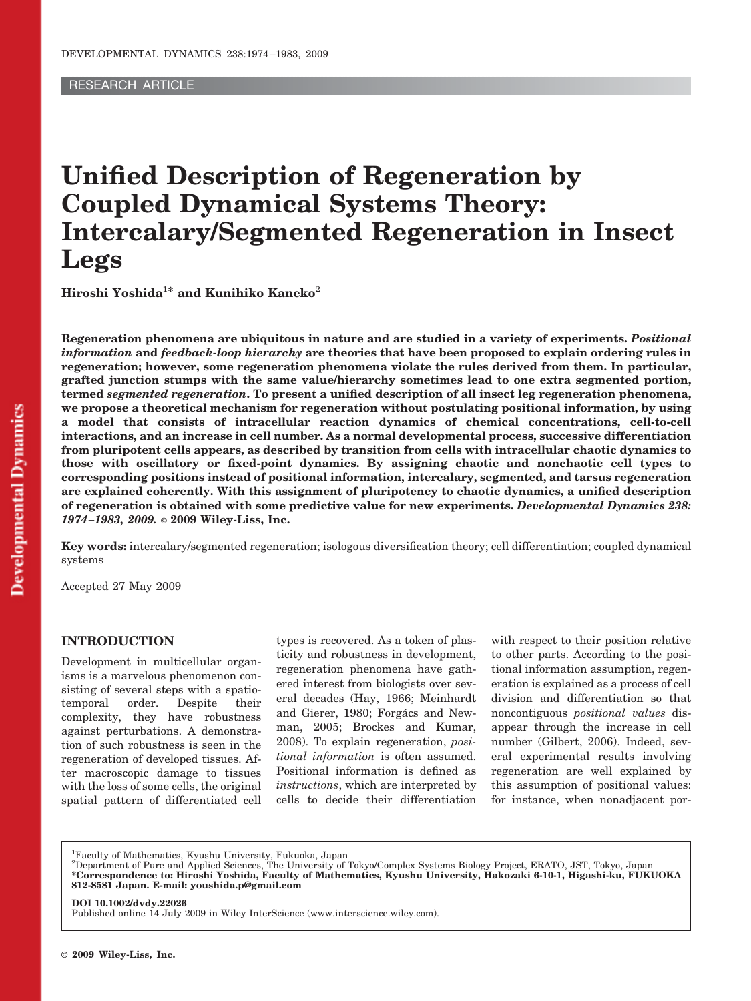#### RESEARCH ARTICLE

# **Unified Description of Regeneration by Coupled Dynamical Systems Theory: Intercalary/Segmented Regeneration in Insect Legs**

**Hiroshi Yoshida**1**\* and Kunihiko Kaneko**<sup>2</sup>

**Regeneration phenomena are ubiquitous in nature and are studied in a variety of experiments.** *Positional information* **and** *feedback-loop hierarchy* **are theories that have been proposed to explain ordering rules in regeneration; however, some regeneration phenomena violate the rules derived from them. In particular, grafted junction stumps with the same value/hierarchy sometimes lead to one extra segmented portion, termed** *segmented regeneration***. To present a unified description of all insect leg regeneration phenomena, we propose a theoretical mechanism for regeneration without postulating positional information, by using a model that consists of intracellular reaction dynamics of chemical concentrations, cell-to-cell interactions, and an increase in cell number. As a normal developmental process, successive differentiation from pluripotent cells appears, as described by transition from cells with intracellular chaotic dynamics to those with oscillatory or fixed-point dynamics. By assigning chaotic and nonchaotic cell types to corresponding positions instead of positional information, intercalary, segmented, and tarsus regeneration are explained coherently. With this assignment of pluripotency to chaotic dynamics, a unified description of regeneration is obtained with some predictive value for new experiments.** *Developmental Dynamics 238: 1974 –1983, 2009.* © **2009 Wiley-Liss, Inc.**

**Key words:** intercalary/segmented regeneration; isologous diversification theory; cell differentiation; coupled dynamical systems

Accepted 27 May 2009

#### **INTRODUCTION**

Development in multicellular organisms is a marvelous phenomenon consisting of several steps with a spatiotemporal order. Despite their complexity, they have robustness against perturbations. A demonstration of such robustness is seen in the regeneration of developed tissues. After macroscopic damage to tissues with the loss of some cells, the original spatial pattern of differentiated cell

types is recovered. As a token of plasticity and robustness in development, regeneration phenomena have gathered interest from biologists over several decades (Hay, 1966; Meinhardt and Gierer, 1980; Forgács and Newman, 2005; Brockes and Kumar, 2008). To explain regeneration, *positional information* is often assumed. Positional information is defined as *instructions*, which are interpreted by cells to decide their differentiation

with respect to their position relative to other parts. According to the positional information assumption, regeneration is explained as a process of cell division and differentiation so that noncontiguous *positional values* disappear through the increase in cell number (Gilbert, 2006). Indeed, several experimental results involving regeneration are well explained by this assumption of positional values: for instance, when nonadjacent por-

2 Department of Pure and Applied Sciences, The University of Tokyo/Complex Systems Biology Project, ERATO, JST, Tokyo, Japan **\*Correspondence to: Hiroshi Yoshida, Faculty of Mathematics, Kyushu University, Hakozaki 6-10-1, Higashi-ku, FUKUOKA 812-8581 Japan. E-mail: youshida.p@gmail.com**

**DOI 10.1002/dvdy.22026**

Published online 14 July 2009 in Wiley InterScience (www.interscience.wiley.com).

<sup>1</sup> Faculty of Mathematics, Kyushu University, Fukuoka, Japan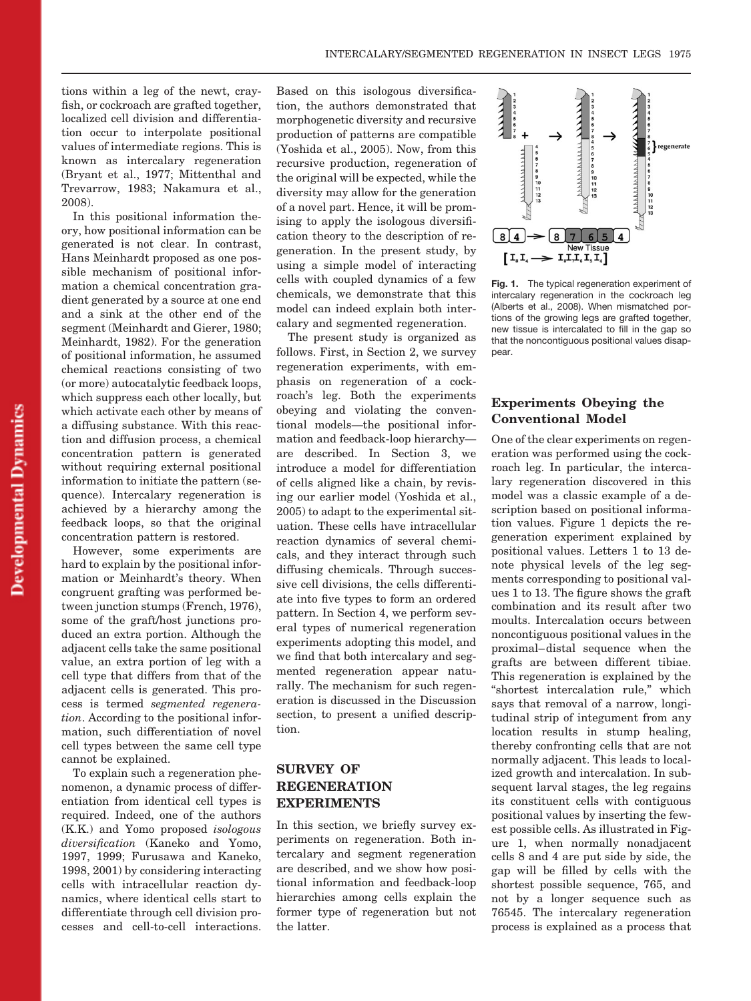tions within a leg of the newt, crayfish, or cockroach are grafted together, localized cell division and differentiation occur to interpolate positional values of intermediate regions. This is known as intercalary regeneration (Bryant et al., 1977; Mittenthal and Trevarrow, 1983; Nakamura et al., 2008).

In this positional information theory, how positional information can be generated is not clear. In contrast, Hans Meinhardt proposed as one possible mechanism of positional information a chemical concentration gradient generated by a source at one end and a sink at the other end of the segment (Meinhardt and Gierer, 1980; Meinhardt, 1982). For the generation of positional information, he assumed chemical reactions consisting of two (or more) autocatalytic feedback loops, which suppress each other locally, but which activate each other by means of a diffusing substance. With this reaction and diffusion process, a chemical concentration pattern is generated without requiring external positional information to initiate the pattern (sequence). Intercalary regeneration is achieved by a hierarchy among the feedback loops, so that the original concentration pattern is restored.

However, some experiments are hard to explain by the positional information or Meinhardt's theory. When congruent grafting was performed between junction stumps (French, 1976), some of the graft/host junctions produced an extra portion. Although the adjacent cells take the same positional value, an extra portion of leg with a cell type that differs from that of the adjacent cells is generated. This process is termed *segmented regeneration*. According to the positional information, such differentiation of novel cell types between the same cell type cannot be explained.

To explain such a regeneration phenomenon, a dynamic process of differentiation from identical cell types is required. Indeed, one of the authors (K.K.) and Yomo proposed *isologous diversification* (Kaneko and Yomo, 1997, 1999; Furusawa and Kaneko, 1998, 2001) by considering interacting cells with intracellular reaction dynamics, where identical cells start to differentiate through cell division processes and cell-to-cell interactions.

Based on this isologous diversification, the authors demonstrated that morphogenetic diversity and recursive production of patterns are compatible (Yoshida et al., 2005). Now, from this recursive production, regeneration of the original will be expected, while the diversity may allow for the generation of a novel part. Hence, it will be promising to apply the isologous diversification theory to the description of regeneration. In the present study, by using a simple model of interacting cells with coupled dynamics of a few chemicals, we demonstrate that this model can indeed explain both intercalary and segmented regeneration.

The present study is organized as follows. First, in Section 2, we survey regeneration experiments, with emphasis on regeneration of a cockroach's leg. Both the experiments obeying and violating the conventional models—the positional information and feedback-loop hierarchy are described. In Section 3, we introduce a model for differentiation of cells aligned like a chain, by revising our earlier model (Yoshida et al., 2005) to adapt to the experimental situation. These cells have intracellular reaction dynamics of several chemicals, and they interact through such diffusing chemicals. Through successive cell divisions, the cells differentiate into five types to form an ordered pattern. In Section 4, we perform several types of numerical regeneration experiments adopting this model, and we find that both intercalary and segmented regeneration appear naturally. The mechanism for such regeneration is discussed in the Discussion section, to present a unified description.

## **SURVEY OF REGENERATION EXPERIMENTS**

In this section, we briefly survey experiments on regeneration. Both intercalary and segment regeneration are described, and we show how positional information and feedback-loop hierarchies among cells explain the former type of regeneration but not the latter.



Fig. 1. The typical regeneration experiment of intercalary regeneration in the cockroach leg (Alberts et al., 2008). When mismatched portions of the growing legs are grafted together, new tissue is intercalated to fill in the gap so that the noncontiguous positional values disappear.

## **Experiments Obeying the Conventional Model**

One of the clear experiments on regeneration was performed using the cockroach leg. In particular, the intercalary regeneration discovered in this model was a classic example of a description based on positional information values. Figure 1 depicts the regeneration experiment explained by positional values. Letters 1 to 13 denote physical levels of the leg segments corresponding to positional values 1 to 13. The figure shows the graft combination and its result after two moults. Intercalation occurs between noncontiguous positional values in the proximal– distal sequence when the grafts are between different tibiae. This regeneration is explained by the "shortest intercalation rule," which says that removal of a narrow, longitudinal strip of integument from any location results in stump healing, thereby confronting cells that are not normally adjacent. This leads to localized growth and intercalation. In subsequent larval stages, the leg regains its constituent cells with contiguous positional values by inserting the fewest possible cells. As illustrated in Figure 1, when normally nonadjacent cells 8 and 4 are put side by side, the gap will be filled by cells with the shortest possible sequence, 765, and not by a longer sequence such as 76545. The intercalary regeneration process is explained as a process that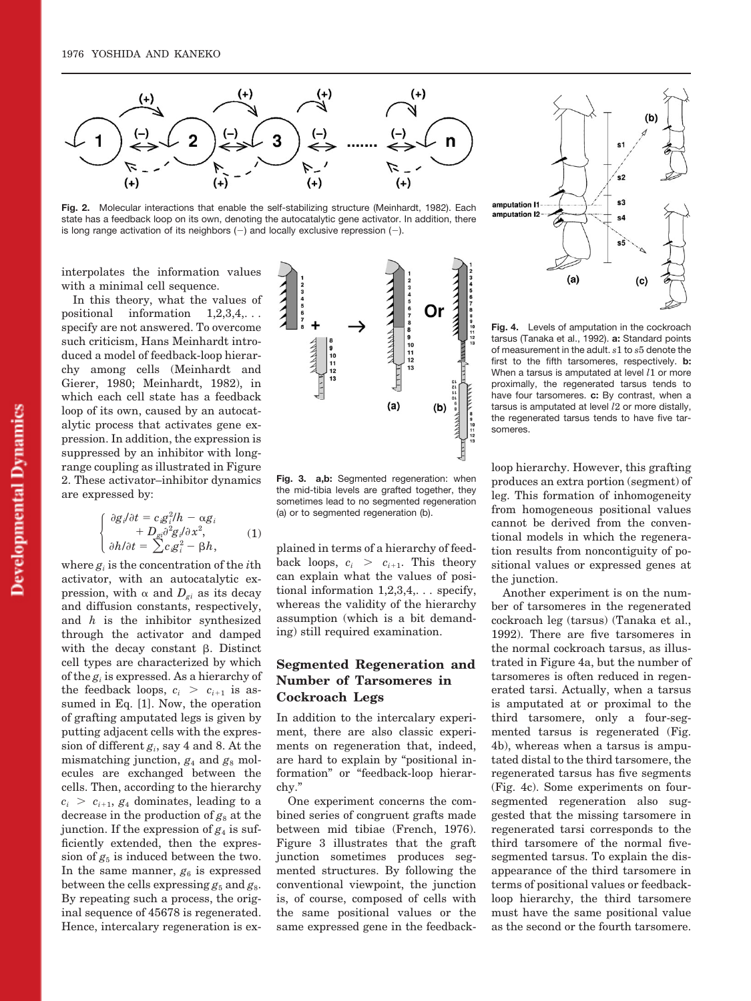

**Fig. 2.** Molecular interactions that enable the self-stabilizing structure (Meinhardt, 1982). Each state has a feedback loop on its own, denoting the autocatalytic gene activator. In addition, there is long range activation of its neighbors  $(-)$  and locally exclusive repression  $(-)$ .

interpolates the information values with a minimal cell sequence.

In this theory, what the values of positional information 1,2,3,4,. . . specify are not answered. To overcome such criticism, Hans Meinhardt introduced a model of feedback-loop hierarchy among cells (Meinhardt and Gierer, 1980; Meinhardt, 1982), in which each cell state has a feedback loop of its own, caused by an autocatalytic process that activates gene expression. In addition, the expression is suppressed by an inhibitor with longrange coupling as illustrated in Figure 2. These activator–inhibitor dynamics are expressed by:

$$
\begin{cases}\n\frac{\partial g}{\partial t} = c_{s}g_{i}^{2}/h - \alpha g_{i} \\
+ D_{gi}\frac{\partial^{2} g}{\partial x^{2}}, \\
\frac{\partial h}{\partial t} = \sum c_{s}g_{i}^{2} - \beta h,\n\end{cases}
$$
\n(1)

where  $g_i$  is the concentration of the *i*th activator, with an autocatalytic expression, with  $\alpha$  and  $D_{gi}$  as its decay and diffusion constants, respectively, and *h* is the inhibitor synthesized through the activator and damped with the decay constant  $\beta$ . Distinct cell types are characterized by which of the *gi* is expressed. As a hierarchy of the feedback loops,  $c_i > c_{i+1}$  is assumed in Eq. [1]. Now, the operation of grafting amputated legs is given by putting adjacent cells with the expression of different *gi*, say 4 and 8. At the mismatching junction,  $g_4$  and  $g_8$  molecules are exchanged between the cells. Then, according to the hierarchy  $c_i > c_{i+1}, g_4$  dominates, leading to a decrease in the production of  $g_8$  at the junction. If the expression of  $g_4$  is sufficiently extended, then the expression of  $g_5$  is induced between the two. In the same manner,  $g_6$  is expressed between the cells expressing  $g_5$  and  $g_8$ . By repeating such a process, the original sequence of 45678 is regenerated. Hence, intercalary regeneration is ex-



Fig. 3. a,b: Segmented regeneration: when the mid-tibia levels are grafted together, they sometimes lead to no segmented regeneration (a) or to segmented regeneration (b).

plained in terms of a hierarchy of feedback loops,  $c_i > c_{i+1}$ . This theory can explain what the values of positional information 1,2,3,4,. . . specify, whereas the validity of the hierarchy assumption (which is a bit demanding) still required examination.

## **Segmented Regeneration and Number of Tarsomeres in Cockroach Legs**

In addition to the intercalary experiment, there are also classic experiments on regeneration that, indeed, are hard to explain by "positional information" or "feedback-loop hierarchy."

One experiment concerns the combined series of congruent grafts made between mid tibiae (French, 1976). Figure 3 illustrates that the graft junction sometimes produces segmented structures. By following the conventional viewpoint, the junction is, of course, composed of cells with the same positional values or the same expressed gene in the feedback-



**Fig. 4.** Levels of amputation in the cockroach tarsus (Tanaka et al., 1992). **a:** Standard points of measurement in the adult. *s*1 to *s*5 denote the first to the fifth tarsomeres, respectively. **b:** When a tarsus is amputated at level *l*1 or more proximally, the regenerated tarsus tends to have four tarsomeres. **c:** By contrast, when a tarsus is amputated at level *l*2 or more distally, the regenerated tarsus tends to have five tarsomeres.

loop hierarchy. However, this grafting produces an extra portion (segment) of leg. This formation of inhomogeneity from homogeneous positional values cannot be derived from the conventional models in which the regeneration results from noncontiguity of positional values or expressed genes at the junction.

Another experiment is on the number of tarsomeres in the regenerated cockroach leg (tarsus) (Tanaka et al., 1992). There are five tarsomeres in the normal cockroach tarsus, as illustrated in Figure 4a, but the number of tarsomeres is often reduced in regenerated tarsi. Actually, when a tarsus is amputated at or proximal to the third tarsomere, only a four-segmented tarsus is regenerated (Fig. 4b), whereas when a tarsus is amputated distal to the third tarsomere, the regenerated tarsus has five segments (Fig. 4c). Some experiments on foursegmented regeneration also suggested that the missing tarsomere in regenerated tarsi corresponds to the third tarsomere of the normal fivesegmented tarsus. To explain the disappearance of the third tarsomere in terms of positional values or feedbackloop hierarchy, the third tarsomere must have the same positional value as the second or the fourth tarsomere.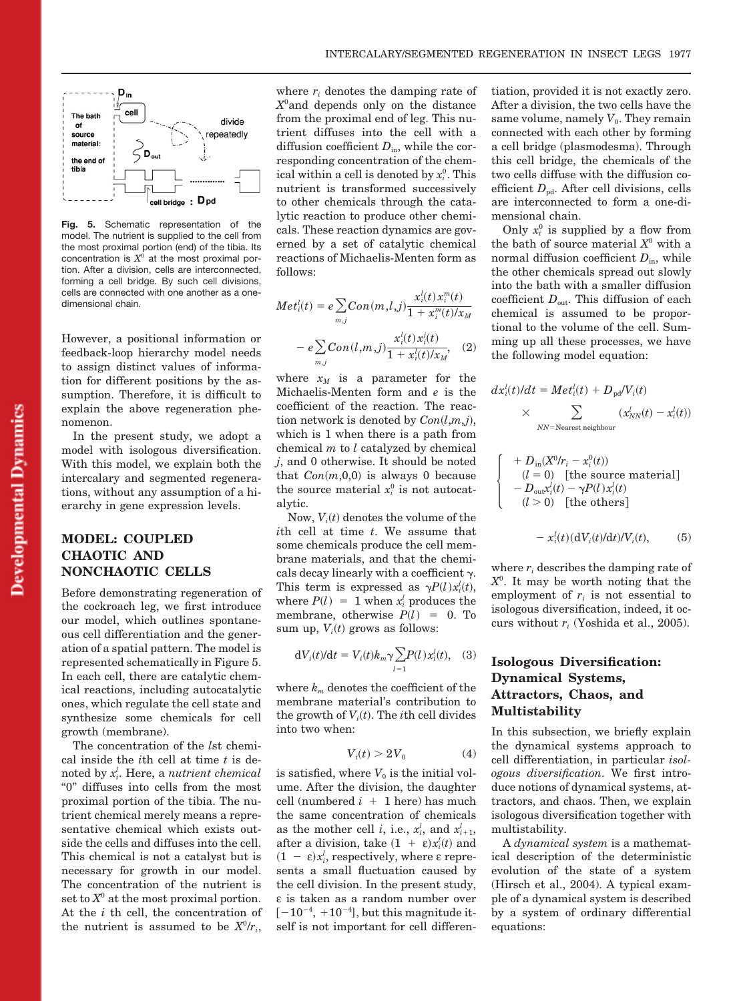

**Fig. 5.** Schematic representation of the model. The nutrient is supplied to the cell from the most proximal portion (end) of the tibia. Its concentration is  $X^0$  at the most proximal portion. After a division, cells are interconnected, forming a cell bridge. By such cell divisions, cells are connected with one another as a onedimensional chain.

However, a positional information or feedback-loop hierarchy model needs to assign distinct values of information for different positions by the assumption. Therefore, it is difficult to explain the above regeneration phenomenon.

In the present study, we adopt a model with isologous diversification. With this model, we explain both the intercalary and segmented regenerations, without any assumption of a hierarchy in gene expression levels.

## **MODEL: COUPLED CHAOTIC AND NONCHAOTIC CELLS**

Before demonstrating regeneration of the cockroach leg, we first introduce our model, which outlines spontaneous cell differentiation and the generation of a spatial pattern. The model is represented schematically in Figure 5. In each cell, there are catalytic chemical reactions, including autocatalytic ones, which regulate the cell state and synthesize some chemicals for cell growth (membrane).

The concentration of the *l*st chemical inside the *i*th cell at time *t* is denoted by *xi l* . Here, a *nutrient chemical* "0" diffuses into cells from the most proximal portion of the tibia. The nutrient chemical merely means a representative chemical which exists outside the cells and diffuses into the cell. This chemical is not a catalyst but is necessary for growth in our model. The concentration of the nutrient is set to  $X^0$  at the most proximal portion. At the *i* th cell, the concentration of the nutrient is assumed to be  $X^0/r_i$ ,

where  $r_i$  denotes the damping rate of *X*0 and depends only on the distance from the proximal end of leg. This nutrient diffuses into the cell with a diffusion coefficient  $D_{\text{in}}$ , while the corresponding concentration of the chemical within a cell is denoted by  $x_i^0$ . This nutrient is transformed successively to other chemicals through the catalytic reaction to produce other chemicals. These reaction dynamics are governed by a set of catalytic chemical reactions of Michaelis-Menten form as follows:

$$
Met_i^l(t) = e \sum_{m,j} Con(m,l,j) \frac{x_i^l(t) x_i^m(t)}{1 + x_i^m(t)/x_M}
$$

$$
- e \sum_{m,j} Con(l,m,j) \frac{x_i^l(t) x_i^j(t)}{1 + x_i^l(t)/x_M}, \quad (2)
$$

where  $x_M$  is a parameter for the Michaelis-Menten form and *e* is the coefficient of the reaction. The reaction network is denoted by *Conl*,*m*,*j*, which is 1 when there is a path from chemical *m* to *l* catalyzed by chemical *j*, and 0 otherwise. It should be noted that  $Con(m,0,0)$  is always 0 because the source material  $x_i^0$  is not autocatalytic.

Now,  $V_i(t)$  denotes the volume of the *i*th cell at time *t*. We assume that some chemicals produce the cell membrane materials, and that the chemicals decay linearly with a coefficient  $\gamma$ . This term is expressed as  $\gamma P(l)x_i^l(t)$ , where  $P(l) = 1$  when  $x_i^l$  produces the membrane, otherwise  $P(l) = 0$ . To sum up,  $V_i(t)$  grows as follows:

$$
dV_i(t)/dt = V_i(t)k_m \gamma \sum_{l=1} P(l) x_i^l(t), \quad (3)
$$

where  $k_m$  denotes the coefficient of the membrane material's contribution to the growth of  $V_i(t)$ . The *i*th cell divides into two when:

$$
V_i(t) > 2V_0 \tag{4}
$$

is satisfied, where  $V_0$  is the initial volume. After the division, the daughter cell (numbered  $i + 1$  here) has much the same concentration of chemicals as the mother cell *i*, i.e.,  $x_i^l$ , and  $x_{i+1}^l$ , after a division, take  $(1 + \varepsilon)x_i^l(t)$  and  $(1 - \varepsilon)x_i^l$ , respectively, where  $\varepsilon$  represents a small fluctuation caused by the cell division. In the present study, ε is taken as a random number over  $[-10^{-4}, +10^{-4}]$ , but this magnitude itself is not important for cell differentiation, provided it is not exactly zero. After a division, the two cells have the same volume, namely  $V_0$ . They remain connected with each other by forming a cell bridge (plasmodesma). Through this cell bridge, the chemicals of the two cells diffuse with the diffusion coefficient  $D_{\text{nd}}$ . After cell divisions, cells are interconnected to form a one-dimensional chain.

Only  $x_i^0$  is supplied by a flow from the bath of source material  $X^0$  with a normal diffusion coefficient  $D_{in}$ , while the other chemicals spread out slowly into the bath with a smaller diffusion coefficient  $D_{\text{out}}$ . This diffusion of each chemical is assumed to be proportional to the volume of the cell. Summing up all these processes, we have the following model equation:

$$
dx_i^l(t)/dt = Met_i^l(t) + D_{\text{pd}}/V_i(t)
$$
  
 
$$
\times \sum_{NN = \text{Nearest neighbour}} (x_{NN}^l(t) - x_i^l(t))
$$

$$
\left\{\begin{array}{c} +D_{\rm in}(X^0/r_i-x_i^0(t))\\ (l=0)\quad[\text{the source material}]\\ -D_{\rm out}x_i^l(t)-\gamma P(l)x_i^l(t)\\ (l>0)\quad[\text{the others}] \end{array}\right.
$$

$$
-x_i^l(t)(dV_i(t)/dt)/V_i(t),\qquad(5)
$$

where *ri* describes the damping rate of *X*0 . It may be worth noting that the employment of  $r_i$  is not essential to isologous diversification, indeed, it occurs without *ri* (Yoshida et al., 2005).

## **Isologous Diversification: Dynamical Systems, Attractors, Chaos, and Multistability**

In this subsection, we briefly explain the dynamical systems approach to cell differentiation, in particular *isologous diversification*. We first introduce notions of dynamical systems, attractors, and chaos. Then, we explain isologous diversification together with multistability.

A *dynamical system* is a mathematical description of the deterministic evolution of the state of a system (Hirsch et al., 2004). A typical example of a dynamical system is described by a system of ordinary differential equations: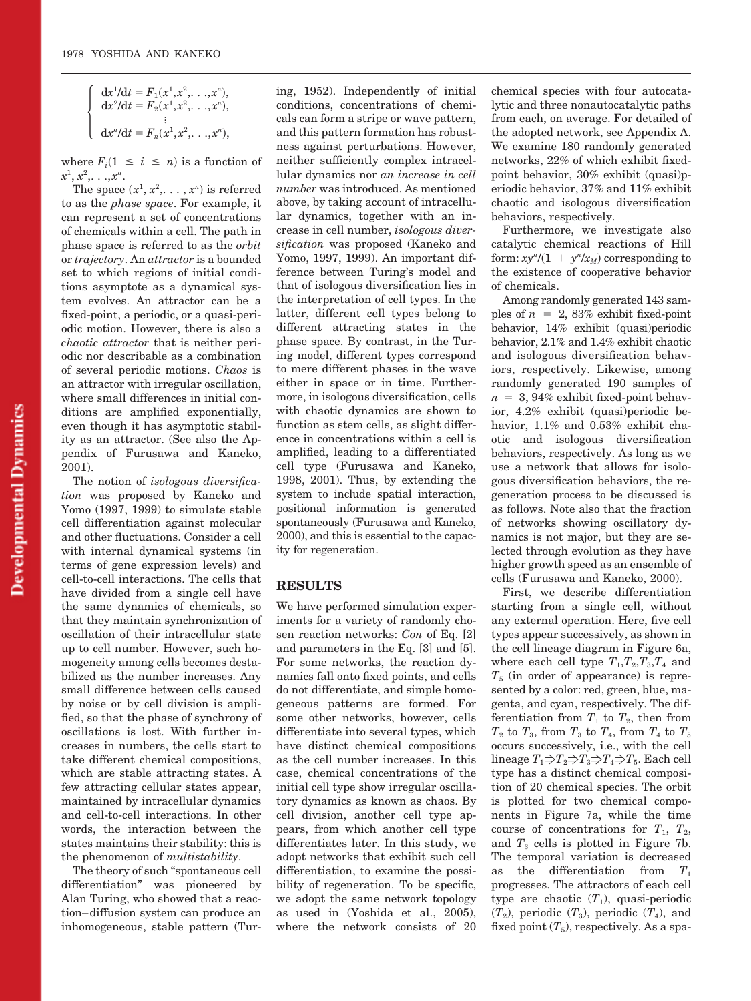$$
\begin{cases}\n\frac{dx^{1}}{dt} = F_{1}(x^{1}, x^{2}, \ldots, x^{n}), \\
\frac{dx^{2}}{dt} = F_{2}(x^{1}, x^{2}, \ldots, x^{n}), \\
\vdots \\
\frac{dx^{n}}{dt} = F_{n}(x^{1}, x^{2}, \ldots, x^{n}),\n\end{cases}
$$

where  $F_i(1 \leq i \leq n)$  is a function of  $x^1, x^2, \ldots, x^n$ .

The space  $(x^1, x^2, \ldots, x^n)$  is referred to as the *phase space*. For example, it can represent a set of concentrations of chemicals within a cell. The path in phase space is referred to as the *orbit* or *trajectory*. An *attractor* is a bounded set to which regions of initial conditions asymptote as a dynamical system evolves. An attractor can be a fixed-point, a periodic, or a quasi-periodic motion. However, there is also a *chaotic attractor* that is neither periodic nor describable as a combination of several periodic motions. *Chaos* is an attractor with irregular oscillation, where small differences in initial conditions are amplified exponentially, even though it has asymptotic stability as an attractor. (See also the Appendix of Furusawa and Kaneko, 2001).

The notion of *isologous diversification* was proposed by Kaneko and Yomo (1997, 1999) to simulate stable cell differentiation against molecular and other fluctuations. Consider a cell with internal dynamical systems (in terms of gene expression levels) and cell-to-cell interactions. The cells that have divided from a single cell have the same dynamics of chemicals, so that they maintain synchronization of oscillation of their intracellular state up to cell number. However, such homogeneity among cells becomes destabilized as the number increases. Any small difference between cells caused by noise or by cell division is amplified, so that the phase of synchrony of oscillations is lost. With further increases in numbers, the cells start to take different chemical compositions, which are stable attracting states. A few attracting cellular states appear, maintained by intracellular dynamics and cell-to-cell interactions. In other words, the interaction between the states maintains their stability: this is the phenomenon of *multistability*.

The theory of such "spontaneous cell differentiation" was pioneered by Alan Turing, who showed that a reaction– diffusion system can produce an inhomogeneous, stable pattern (Turing, 1952). Independently of initial conditions, concentrations of chemicals can form a stripe or wave pattern, and this pattern formation has robustness against perturbations. However, neither sufficiently complex intracellular dynamics nor *an increase in cell number* was introduced. As mentioned above, by taking account of intracellular dynamics, together with an increase in cell number, *isologous diversification* was proposed (Kaneko and Yomo, 1997, 1999). An important difference between Turing's model and that of isologous diversification lies in the interpretation of cell types. In the latter, different cell types belong to different attracting states in the phase space. By contrast, in the Turing model, different types correspond to mere different phases in the wave either in space or in time. Furthermore, in isologous diversification, cells with chaotic dynamics are shown to function as stem cells, as slight difference in concentrations within a cell is amplified, leading to a differentiated cell type (Furusawa and Kaneko, 1998, 2001). Thus, by extending the system to include spatial interaction, positional information is generated spontaneously (Furusawa and Kaneko, 2000), and this is essential to the capacity for regeneration.

#### **RESULTS**

We have performed simulation experiments for a variety of randomly chosen reaction networks: *Con* of Eq. [2] and parameters in the Eq. [3] and [5]. For some networks, the reaction dynamics fall onto fixed points, and cells do not differentiate, and simple homogeneous patterns are formed. For some other networks, however, cells differentiate into several types, which have distinct chemical compositions as the cell number increases. In this case, chemical concentrations of the initial cell type show irregular oscillatory dynamics as known as chaos. By cell division, another cell type appears, from which another cell type differentiates later. In this study, we adopt networks that exhibit such cell differentiation, to examine the possibility of regeneration. To be specific, we adopt the same network topology as used in (Yoshida et al., 2005), where the network consists of 20

chemical species with four autocatalytic and three nonautocatalytic paths from each, on average. For detailed of the adopted network, see Appendix A. We examine 180 randomly generated networks, 22% of which exhibit fixedpoint behavior, 30% exhibit (quasi)periodic behavior, 37% and 11% exhibit chaotic and isologous diversification behaviors, respectively.

Furthermore, we investigate also catalytic chemical reactions of Hill form:  $xy^n/(1 + y^n/x_M)$  corresponding to the existence of cooperative behavior of chemicals.

Among randomly generated 143 samples of  $n = 2$ , 83% exhibit fixed-point behavior, 14% exhibit (quasi)periodic behavior, 2.1% and 1.4% exhibit chaotic and isologous diversification behaviors, respectively. Likewise, among randomly generated 190 samples of  $n = 3,94\%$  exhibit fixed-point behavior, 4.2% exhibit (quasi)periodic behavior, 1.1% and 0.53% exhibit chaotic and isologous diversification behaviors, respectively. As long as we use a network that allows for isologous diversification behaviors, the regeneration process to be discussed is as follows. Note also that the fraction of networks showing oscillatory dynamics is not major, but they are selected through evolution as they have higher growth speed as an ensemble of cells (Furusawa and Kaneko, 2000).

First, we describe differentiation starting from a single cell, without any external operation. Here, five cell types appear successively, as shown in the cell lineage diagram in Figure 6a, where each cell type  $T_1, T_2, T_3, T_4$  and  $T<sub>5</sub>$  (in order of appearance) is represented by a color: red, green, blue, magenta, and cyan, respectively. The differentiation from  $T_1$  to  $T_2$ , then from  $T_2$  to  $T_3$ , from  $T_3$  to  $T_4$ , from  $T_4$  to  $T_5$ occurs successively, i.e., with the cell lineage  $T_1 \Rightarrow T_2 \Rightarrow T_3 \Rightarrow T_4 \Rightarrow T_5$ . Each cell type has a distinct chemical composition of 20 chemical species. The orbit is plotted for two chemical components in Figure 7a, while the time course of concentrations for  $T_1$ ,  $T_2$ , and  $T_3$  cells is plotted in Figure 7b. The temporal variation is decreased as the differentiation from  $T_1$ progresses. The attractors of each cell type are chaotic  $(T_1)$ , quasi-periodic  $(T_2)$ , periodic  $(T_3)$ , periodic  $(T_4)$ , and fixed point  $(T_5)$ , respectively. As a spa-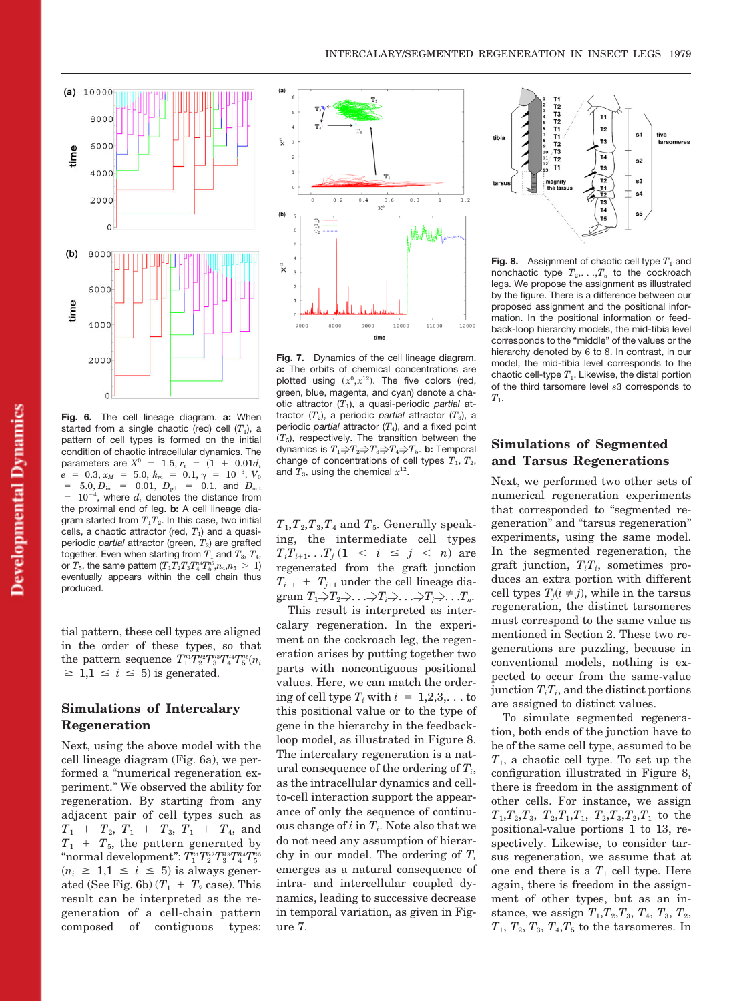

**Fig. 6.** The cell lineage diagram. **a:** When started from a single chaotic (red) cell  $(T_1)$ , a pattern of cell types is formed on the initial condition of chaotic intracellular dynamics. The parameters are  $X^0 = 1.5, r_i = (1 + 0.01d_i)$  $e$  = 0.3,  $x_M$  = 5.0,  $k_m$  = 0.1,  $\gamma$  = 10<sup>-3</sup>,  $V_0$  $= 5.0, D_{\text{in}} = 0.01, D_{\text{pd}} = 0.1, \text{ and } D_{\text{out}}$  $= 10^{-4}$ , where  $d_i$  denotes the distance from the proximal end of leg. **b:** A cell lineage diagram started from  $T_1T_2$ . In this case, two initial cells, a chaotic attractor (red,  $T_1$ ) and a quasiperiodic *partial* attractor (green,  $T_2$ ) are grafted together. Even when starting from  $T_1$  and  $T_3$ ,  $T_4$ , or  $T_5$ , the same pattern  $(T_1T_2T_3T_4^nT_5^n,n_4,n_5 > 1)$ eventually appears within the cell chain thus produced.

tial pattern, these cell types are aligned in the order of these types, so that the pattern sequence  $T_1^{n_1} T_2^{n_2} T_3^{n_3} T_4^{n_4} T_5^{n_5} (n_i)$  $\geq 1, 1 \leq i \leq 5$  is generated.

## **Simulations of Intercalary Regeneration**

Next, using the above model with the cell lineage diagram (Fig. 6a), we performed a "numerical regeneration experiment." We observed the ability for regeneration. By starting from any adjacent pair of cell types such as  $T_1$  +  $T_2$ ,  $T_1$  +  $T_3$ ,  $T_1$  +  $T_4$ , and  $T_1$  +  $T_5$ , the pattern generated by  $T^{n_1}T^{n_2}_2T^{n_3}_3T^{n_4}_4T^{n_5}_5$  $(n_i \geq 1, 1 \leq i \leq 5)$  is always generated (See Fig. 6b)  $(T_1 + T_2 \text{ case})$ . This result can be interpreted as the regeneration of a cell-chain pattern composed of contiguous types:



**Fig. 7.** Dynamics of the cell lineage diagram. **a:** The orbits of chemical concentrations are plotted using  $(x^0, x^{12})$ . The five colors (red, green, blue, magenta, and cyan) denote a chaotic attractor (*T*1), a quasi-periodic *partial* attractor  $(T_2)$ , a periodic *partial* attractor  $(T_3)$ , a periodic *partial* attractor (*T*4), and a fixed point  $(T<sub>5</sub>)$ , respectively. The transition between the dynamics is  $T_1 \Rightarrow T_2 \Rightarrow T_3 \Rightarrow T_4 \Rightarrow T_5$ . **b:** Temporal change of concentrations of cell types  $T_1, T_2,$ and  $T_3$ , using the chemical  $x^{12}$ .

 $T_1, T_2, T_3, T_4$  and  $T_5$ . Generally speaking, the intermediate cell types  $T_i T_{i+1} \ldots T_j$   $(1 \le i \le j \le n)$  are regenerated from the graft junction  $T_{i-1}$  +  $T_{i+1}$  under the cell lineage diagram  $T_1 \Rightarrow T_2 \Rightarrow \dots \Rightarrow T_i \Rightarrow \dots \Rightarrow T_i \Rightarrow \dots T_n$ .

This result is interpreted as intercalary regeneration. In the experiment on the cockroach leg, the regeneration arises by putting together two parts with noncontiguous positional values. Here, we can match the ordering of cell type  $T_i$  with  $i = 1,2,3,...$  to this positional value or to the type of gene in the hierarchy in the feedbackloop model, as illustrated in Figure 8. The intercalary regeneration is a natural consequence of the ordering of *Ti*, as the intracellular dynamics and cellto-cell interaction support the appearance of only the sequence of continuous change of *i* in *Ti*. Note also that we do not need any assumption of hierarchy in our model. The ordering of *Ti* emerges as a natural consequence of intra- and intercellular coupled dynamics, leading to successive decrease in temporal variation, as given in Figure 7.



**Fig. 8.** Assignment of chaotic cell type  $T_1$  and nonchaotic type  $T_2, \ldots, T_5$  to the cockroach legs. We propose the assignment as illustrated by the figure. There is a difference between our proposed assignment and the positional information. In the positional information or feedback-loop hierarchy models, the mid-tibia level corresponds to the "middle" of the values or the hierarchy denoted by 6 to 8. In contrast, in our model, the mid-tibia level corresponds to the chaotic cell-type  $T_1$ . Likewise, the distal portion of the third tarsomere level *s*3 corresponds to  $T_{1}$ .

### **Simulations of Segmented and Tarsus Regenerations**

Next, we performed two other sets of numerical regeneration experiments that corresponded to "segmented regeneration" and "tarsus regeneration" experiments, using the same model. In the segmented regeneration, the graft junction,  $T_i T_i$ , sometimes produces an extra portion with different cell types  $T_i$ <sup> $(i \neq j)$ </sup>, while in the tarsus regeneration, the distinct tarsomeres must correspond to the same value as mentioned in Section 2. These two regenerations are puzzling, because in conventional models, nothing is expected to occur from the same-value junction  $T_i$ <sub>i</sub>, and the distinct portions are assigned to distinct values.

To simulate segmented regeneration, both ends of the junction have to be of the same cell type, assumed to be *T*1, a chaotic cell type. To set up the configuration illustrated in Figure 8, there is freedom in the assignment of other cells. For instance, we assign  $T_1, T_2, T_3, T_2, T_1, T_1, T_2, T_3, T_2, T_1$  to the positional-value portions 1 to 13, respectively. Likewise, to consider tarsus regeneration, we assume that at one end there is a  $T_1$  cell type. Here again, there is freedom in the assignment of other types, but as an instance, we assign  $T_1, T_2, T_3, T_4, T_3, T_2$ ,  $T_1$ ,  $T_2$ ,  $T_3$ ,  $T_4$ ,  $T_5$  to the tarsomeres. In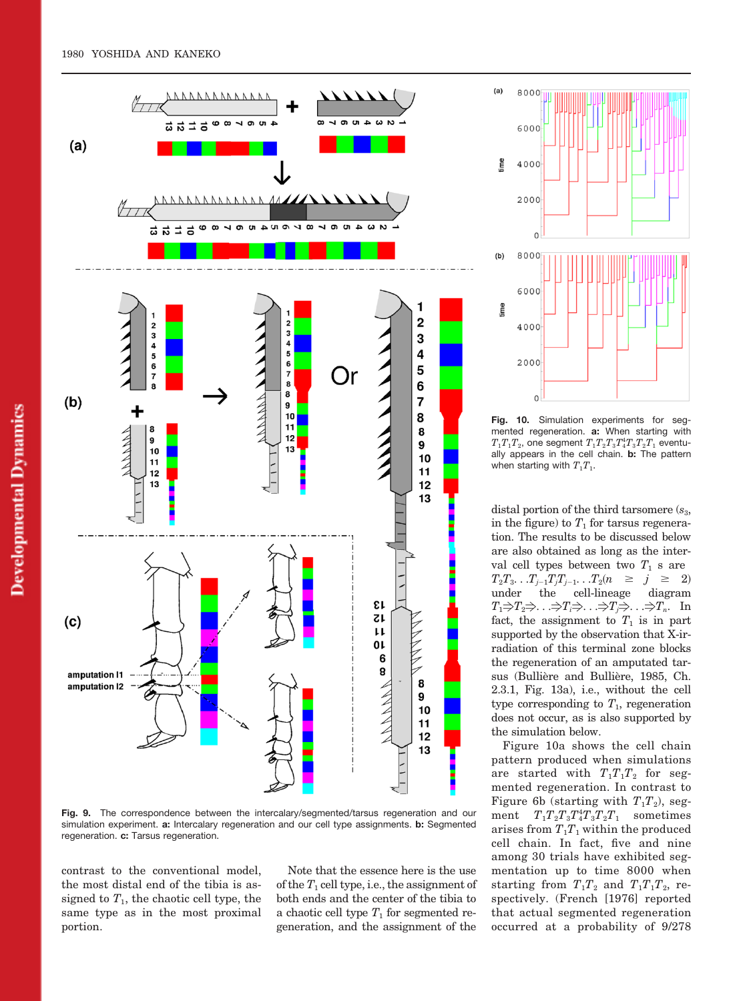

**Fig. 9.** The correspondence between the intercalary/segmented/tarsus regeneration and our simulation experiment. **a:** Intercalary regeneration and our cell type assignments. **b:** Segmented regeneration. **c:** Tarsus regeneration.

contrast to the conventional model, the most distal end of the tibia is assigned to  $T_1$ , the chaotic cell type, the same type as in the most proximal portion.

Note that the essence here is the use of the *T*<sup>1</sup> cell type, i.e., the assignment of both ends and the center of the tibia to a chaotic cell type  $T_1$  for segmented regeneration, and the assignment of the



**Fig. 10.** Simulation experiments for segmented regeneration. **a:** When starting with  $T_{1}T_{1}T_{2}$ , one segment  $T_{1}T_{2}T_{3}T_{4}^{4}T_{3}T_{2}T_{1}$  eventually appears in the cell chain. **b:** The pattern when starting with  $T_1T_1$ .

distal portion of the third tarsomere ( $s_3$ , in the figure) to  $T_1$  for tarsus regeneration. The results to be discussed below are also obtained as long as the interval cell types between two  $T_1$  s are  $T_2T_3$ ...*T*<sub>*j*-1</sub>*T*<sub>*j*</sub>*T*<sub>*j*-1</sub>...*T*<sub>2</sub>*(n* ≥ *j* ≥ 2)<br>under the cell-lineage diagram under the cell-lineage  $T_1 \Rightarrow T_2 \Rightarrow \dots \Rightarrow T_i \Rightarrow \dots \Rightarrow T_j \Rightarrow \dots \Rightarrow T_n$ . In fact, the assignment to  $T_1$  is in part supported by the observation that X-irradiation of this terminal zone blocks the regeneration of an amputated tarsus (Bullière and Bullière, 1985, Ch. 2.3.1, Fig. 13a), i.e., without the cell type corresponding to  $T_1$ , regeneration does not occur, as is also supported by the simulation below.

Figure 10a shows the cell chain pattern produced when simulations are started with  $T_1T_1T_2$  for segmented regeneration. In contrast to Figure 6b (starting with  $T_1T_2$ ), seg- $\text{ment} \quad T_1 T_2 T_3 T_4^4 T_3 T_2 T_1 \quad \text{sometimes}$ arises from  $T_1T_1$  within the produced cell chain. In fact, five and nine among 30 trials have exhibited segmentation up to time 8000 when starting from  $T_1T_2$  and  $T_1T_1T_2$ , respectively. (French [1976] reported that actual segmented regeneration occurred at a probability of 9/278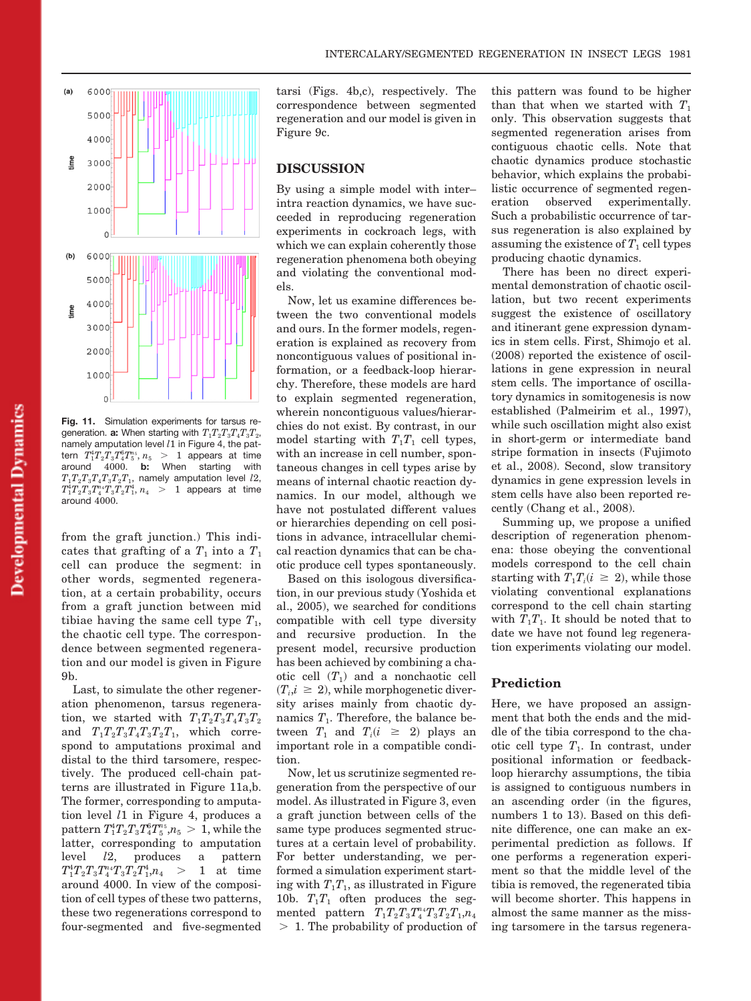

**Fig. 11.** Simulation experiments for tarsus regeneration. **a:** When starting with  $T_1T_2T_3T_4T_3T_2$ . namely amputation level *l*1 in Figure 4, the pattern  $T_1^4 T_2 T_3 T_4^6 T_5^{n_5}, n_5 > 1$  appears at time around 4000. **b:** When starting with  $T_{1}T_{2}T_{3}T_{4}T_{3}T_{2}T_{1}$ , namely amputation level  $l2$ ,  $T_{1}^{4}T_{2}T_{3}T_{4}^{n_{4}}T_{3}T_{2}T_{1}^{4}, n_{4}$  > 1 appears at time around 4000.

from the graft junction.) This indicates that grafting of a  $T_1$  into a  $T_1$ cell can produce the segment: in other words, segmented regeneration, at a certain probability, occurs from a graft junction between mid tibiae having the same cell type  $T_1$ , the chaotic cell type. The correspondence between segmented regeneration and our model is given in Figure 9b.

Last, to simulate the other regeneration phenomenon, tarsus regeneration, we started with  $T_1T_2T_3T_4T_3T_2$ and  $T_1T_2T_3T_4T_3T_2T_1$ , which correspond to amputations proximal and distal to the third tarsomere, respectively. The produced cell-chain patterns are illustrated in Figure 11a,b. The former, corresponding to amputation level *l*1 in Figure 4, produces a  $\text{pattern } T_1^4 T_2 T_3 T_4^6 T_5^{n_5}, n_5 > 1 \text{, while the}$ latter, corresponding to amputation level *l*2, produces a pattern  $T_1^4 T_2 T_3 T_4^{n_4} T_3 T_2 T_1^4, n_4$  > 1 at time around 4000. In view of the composition of cell types of these two patterns, these two regenerations correspond to four-segmented and five-segmented

tarsi (Figs. 4b,c), respectively. The correspondence between segmented regeneration and our model is given in Figure 9c.

#### **DISCUSSION**

By using a simple model with inter– intra reaction dynamics, we have succeeded in reproducing regeneration experiments in cockroach legs, with which we can explain coherently those regeneration phenomena both obeying and violating the conventional models.

Now, let us examine differences between the two conventional models and ours. In the former models, regeneration is explained as recovery from noncontiguous values of positional information, or a feedback-loop hierarchy. Therefore, these models are hard to explain segmented regeneration, wherein noncontiguous values/hierarchies do not exist. By contrast, in our model starting with  $T_1T_1$  cell types, with an increase in cell number, spontaneous changes in cell types arise by means of internal chaotic reaction dynamics. In our model, although we have not postulated different values or hierarchies depending on cell positions in advance, intracellular chemical reaction dynamics that can be chaotic produce cell types spontaneously.

Based on this isologous diversification, in our previous study (Yoshida et al., 2005), we searched for conditions compatible with cell type diversity and recursive production. In the present model, recursive production has been achieved by combining a chaotic cell  $(T_1)$  and a nonchaotic cell  $(T_i, i \geq 2)$ , while morphogenetic diversity arises mainly from chaotic dynamics  $T_1$ . Therefore, the balance between  $T_1$  and  $T_i(i \geq 2)$  plays an important role in a compatible condition.

Now, let us scrutinize segmented regeneration from the perspective of our model. As illustrated in Figure 3, even a graft junction between cells of the same type produces segmented structures at a certain level of probability. For better understanding, we performed a simulation experiment starting with  $T_1T_1$ , as illustrated in Figure 10b.  $T_1T_1$  often produces the seg- $T_1T_2T_3T_4^{n_4}T_3T_2T_1$ , $n_4$  $> 1$ . The probability of production of this pattern was found to be higher than that when we started with  $T_1$ only. This observation suggests that segmented regeneration arises from contiguous chaotic cells. Note that chaotic dynamics produce stochastic behavior, which explains the probabilistic occurrence of segmented regeneration observed experimentally. Such a probabilistic occurrence of tarsus regeneration is also explained by assuming the existence of  $T_1$  cell types producing chaotic dynamics.

There has been no direct experimental demonstration of chaotic oscillation, but two recent experiments suggest the existence of oscillatory and itinerant gene expression dynamics in stem cells. First, Shimojo et al. (2008) reported the existence of oscillations in gene expression in neural stem cells. The importance of oscillatory dynamics in somitogenesis is now established (Palmeirim et al., 1997), while such oscillation might also exist in short-germ or intermediate band stripe formation in insects (Fujimoto et al., 2008). Second, slow transitory dynamics in gene expression levels in stem cells have also been reported recently (Chang et al., 2008).

Summing up, we propose a unified description of regeneration phenomena: those obeying the conventional models correspond to the cell chain starting with  $T_1T_i$ <sup> $(i \geq 2)$ , while those</sup> violating conventional explanations correspond to the cell chain starting with  $T_1T_1$ . It should be noted that to date we have not found leg regeneration experiments violating our model.

#### **Prediction**

Here, we have proposed an assignment that both the ends and the middle of the tibia correspond to the chaotic cell type  $T_1$ . In contrast, under positional information or feedbackloop hierarchy assumptions, the tibia is assigned to contiguous numbers in an ascending order (in the figures, numbers 1 to 13). Based on this definite difference, one can make an experimental prediction as follows. If one performs a regeneration experiment so that the middle level of the tibia is removed, the regenerated tibia will become shorter. This happens in almost the same manner as the missing tarsomere in the tarsus regenera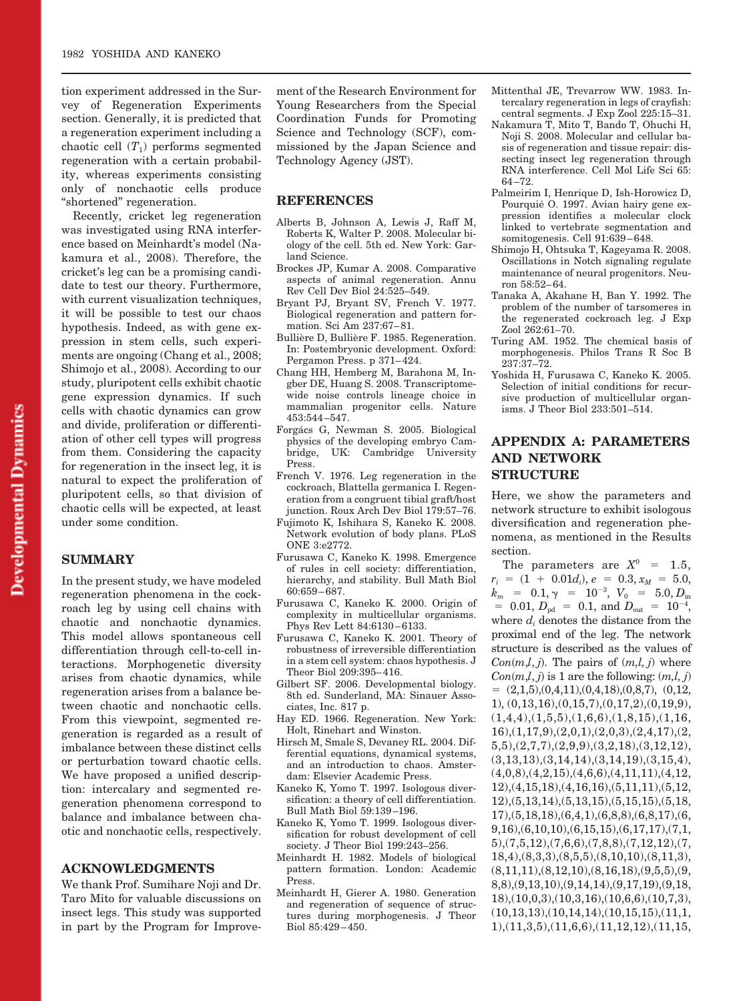tion experiment addressed in the Survey of Regeneration Experiments section. Generally, it is predicted that a regeneration experiment including a chaotic cell  $(T_1)$  performs segmented regeneration with a certain probability, whereas experiments consisting only of nonchaotic cells produce "shortened" regeneration.

Recently, cricket leg regeneration was investigated using RNA interference based on Meinhardt's model (Nakamura et al., 2008). Therefore, the cricket's leg can be a promising candidate to test our theory. Furthermore, with current visualization techniques, it will be possible to test our chaos hypothesis. Indeed, as with gene expression in stem cells, such experiments are ongoing (Chang et al., 2008; Shimojo et al., 2008). According to our study, pluripotent cells exhibit chaotic gene expression dynamics. If such cells with chaotic dynamics can grow and divide, proliferation or differentiation of other cell types will progress from them. Considering the capacity for regeneration in the insect leg, it is natural to expect the proliferation of pluripotent cells, so that division of chaotic cells will be expected, at least under some condition.

#### **SUMMARY**

In the present study, we have modeled regeneration phenomena in the cockroach leg by using cell chains with chaotic and nonchaotic dynamics. This model allows spontaneous cell differentiation through cell-to-cell interactions. Morphogenetic diversity arises from chaotic dynamics, while regeneration arises from a balance between chaotic and nonchaotic cells. From this viewpoint, segmented regeneration is regarded as a result of imbalance between these distinct cells or perturbation toward chaotic cells. We have proposed a unified description: intercalary and segmented regeneration phenomena correspond to balance and imbalance between chaotic and nonchaotic cells, respectively.

#### **ACKNOWLEDGMENTS**

We thank Prof. Sumihare Noji and Dr. Taro Mito for valuable discussions on insect legs. This study was supported in part by the Program for Improve-

ment of the Research Environment for Young Researchers from the Special Coordination Funds for Promoting Science and Technology (SCF), commissioned by the Japan Science and Technology Agency (JST).

#### **REFERENCES**

- Alberts B, Johnson A, Lewis J, Raff M, Roberts K, Walter P. 2008. Molecular biology of the cell. 5th ed. New York: Garland Science.
- Brockes JP, Kumar A. 2008. Comparative aspects of animal regeneration. Annu Rev Cell Dev Biol 24:525–549.
- Bryant PJ, Bryant SV, French V. 1977. Biological regeneration and pattern formation. Sci Am 237:67– 81.
- Bullière D, Bullière F. 1985. Regeneration. In: Postembryonic development. Oxford: Pergamon Press. p 371–424.
- Chang HH, Hemberg M, Barahona M, Ingber DE, Huang S. 2008. Transcriptomewide noise controls lineage choice in mammalian progenitor cells. Nature 453:544 –547.
- Forgács G, Newman S. 2005. Biological physics of the developing embryo Cambridge, UK: Cambridge University Press.
- French V. 1976. Leg regeneration in the cockroach, Blattella germanica I. Regeneration from a congruent tibial graft/host junction. Roux Arch Dev Biol 179:57–76.
- Fujimoto K, Ishihara S, Kaneko K. 2008. Network evolution of body plans. PLoS ONE 3:e2772.
- Furusawa C, Kaneko K. 1998. Emergence of rules in cell society: differentiation, hierarchy, and stability. Bull Math Biol 60:659 – 687.
- Furusawa C, Kaneko K. 2000. Origin of complexity in multicellular organisms. Phys Rev Lett 84:6130 – 6133.
- Furusawa C, Kaneko K. 2001. Theory of robustness of irreversible differentiation in a stem cell system: chaos hypothesis. J Theor Biol 209:395– 416.
- Gilbert SF. 2006. Developmental biology. 8th ed. Sunderland, MA: Sinauer Associates, Inc. 817 p.
- Hay ED. 1966. Regeneration. New York: Holt, Rinehart and Winston.
- Hirsch M, Smale S, Devaney RL. 2004. Differential equations, dynamical systems, and an introduction to chaos. Amsterdam: Elsevier Academic Press.
- Kaneko K, Yomo T. 1997. Isologous diversification: a theory of cell differentiation. Bull Math Biol 59:139 –196.
- Kaneko K, Yomo T. 1999. Isologous diversification for robust development of cell society. J Theor Biol 199:243–256.
- Meinhardt H. 1982. Models of biological pattern formation. London: Academic Press.
- Meinhardt H, Gierer A. 1980. Generation and regeneration of sequence of structures during morphogenesis. J Theor Biol 85:429 – 450.
- Mittenthal JE, Trevarrow WW. 1983. Intercalary regeneration in legs of crayfish: central segments. J Exp Zool 225:15–31.
- Nakamura T, Mito T, Bando T, Ohuchi H, Noji S. 2008. Molecular and cellular basis of regeneration and tissue repair: dissecting insect leg regeneration through RNA interference. Cell Mol Life Sci 65: 64 –72.
- Palmeirim I, Henrique D, Ish-Horowicz D, Pourquié O. 1997. Avian hairy gene expression identifies a molecular clock linked to vertebrate segmentation and somitogenesis. Cell 91:639 – 648.
- Shimojo H, Ohtsuka T, Kageyama R. 2008. Oscillations in Notch signaling regulate maintenance of neural progenitors. Neuron 58:52– 64.
- Tanaka A, Akahane H, Ban Y. 1992. The problem of the number of tarsomeres in the regenerated cockroach leg. J Exp Zool 262:61–70.
- Turing AM. 1952. The chemical basis of morphogenesis. Philos Trans R Soc B 237:37–72.
- Yoshida H, Furusawa C, Kaneko K. 2005. Selection of initial conditions for recursive production of multicellular organisms. J Theor Biol 233:501–514.

## **APPENDIX A: PARAMETERS AND NETWORK STRUCTURE**

Here, we show the parameters and network structure to exhibit isologous diversification and regeneration phenomena, as mentioned in the Results section.

The parameters are  $X^0 = 1.5$ ,  $r_i = (1 + 0.01d_i), e = 0.3, x_M = 5.0,$  $k_m$  =  $0.1, \gamma$  =  $10^{-3}, V_0$  =  $5.0, D_{\rm in}$  $= 0.01, D_{\text{pd}} = 0.1, \text{ and } D_{\text{out}} = 10^{-4},$ where *di* denotes the distance from the proximal end of the leg. The network structure is described as the values of *Con* $(m,l,j)$ . The pairs of  $(m,l,j)$  where  $Con(m,l,j)$  is 1 are the following:  $(m,l,j)$  $=(2,1,5),(0,4,11),(0,4,18),(0,8,7), (0,12,$ 1), (0,13,16),(0,15,7),(0,17,2),(0,19,9),  $(1,4,4),(1,5,5),(1,6,6),(1,8,15),(1,16,$ 16),(1,17,9),(2,0,1),(2,0,3),(2,4,17),(2, 5,5),(2,7,7),(2,9,9),(3,2,18),(3,12,12),  $(3,13,13),(3,14,14),(3,14,19),(3,15,4),$  $(4,0,8), (4,2,15), (4,6,6), (4,11,11), (4,12,$ 12),(4,15,18),(4,16,16),(5,11,11),(5,12, 12),(5,13,14),(5,13,15),(5,15,15),(5,18, 17),(5,18,18),(6,4,1),(6,8,8),(6,8,17),(6, 9,16),(6,10,10),(6,15,15),(6,17,17),(7,1, 5),(7,5,12),(7,6,6),(7,8,8),(7,12,12),(7, 18,4),(8,3,3),(8,5,5),(8,10,10),(8,11,3),  $(8,11,11),(8,12,10),(8,16,18),(9,5,5),(9,$ 8,8),(9,13,10),(9,14,14),(9,17,19),(9,18, 18),(10,0,3),(10,3,16),(10,6,6),(10,7,3),  $(10,13,13),(10,14,14),(10,15,15),(11,1,$ 1),(11,3,5),(11,6,6),(11,12,12),(11,15,